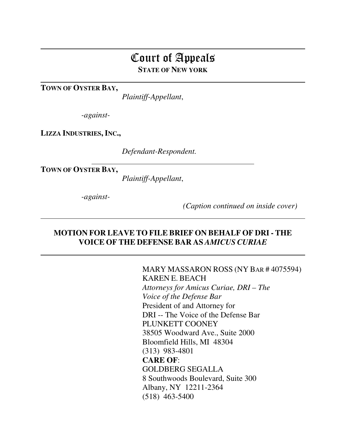# Court of Appeals **STATE OF NEW YORK**

**TOWN OF OYSTER BAY,** 

 $\overline{a}$ 

 $\overline{a}$ 

 $\overline{a}$ 

*Plaintiff-Appellant*,

*-against-*

**LIZZA INDUSTRIES, INC.,**

*Defendant-Respondent.* 

**TOWN OF OYSTER BAY,** 

*Plaintiff-Appellant*,

*-against-* 

 $\overline{a}$ 

 *(Caption continued on inside cover)* 

#### **MOTION FOR LEAVE TO FILE BRIEF ON BEHALF OF DRI - THE VOICE OF THE DEFENSE BAR AS** *AMICUS CURIAE*

 MARY MASSARON ROSS (NY BAR # 4075594) KAREN E. BEACH *Attorneys for Amicus Curiae, DRI – The Voice of the Defense Bar*  President of and Attorney for DRI -- The Voice of the Defense Bar PLUNKETT COONEY 38505 Woodward Ave., Suite 2000 Bloomfield Hills, MI 48304 (313) 983-4801 **CARE OF**: GOLDBERG SEGALLA 8 Southwoods Boulevard, Suite 300 Albany, NY 12211-2364 (518) 463-5400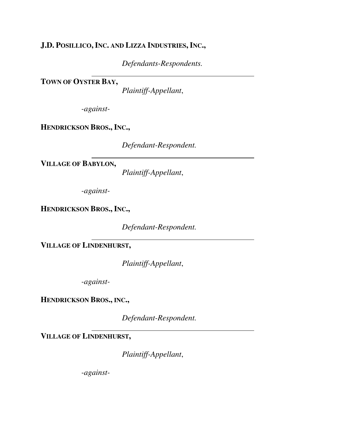### **J.D. POSILLICO,INC. AND LIZZA INDUSTRIES, INC.,**

*Defendants-Respondents.* 

**TOWN OF OYSTER BAY,** 

*Plaintiff-Appellant*,

*-against-*

 $\overline{a}$ 

**HENDRICKSON BROS., INC.,**

*Defendant-Respondent.* 

**VILLAGE OF BABYLON,** 

*Plaintiff-Appellant*,

*-against-*

 $\overline{a}$ 

**HENDRICKSON BROS., INC.,**

*Defendant-Respondent.* 

**VILLAGE OF LINDENHURST,**

 $\overline{a}$ 

*Plaintiff-Appellant*,

*-against-*

**HENDRICKSON BROS., INC.,**

*Defendant-Respondent.* 

**VILLAGE OF LINDENHURST,**

*Plaintiff-Appellant*,

*-against-*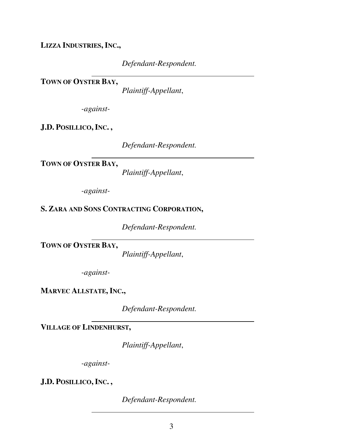**LIZZA INDUSTRIES, INC.,**

*Defendant-Respondent.* 

 $\overline{a}$ **TOWN OF OYSTER BAY,** 

*Plaintiff-Appellant*,

*-against-*

**J.D. POSILLICO,INC. ,**

*Defendant-Respondent.* 

 $\overline{a}$ **TOWN OF OYSTER BAY,** 

*Plaintiff-Appellant*,

*-against-*

**S. ZARA AND SONS CONTRACTING CORPORATION,** 

*Defendant-Respondent.* 

**TOWN OF OYSTER BAY,** 

*Plaintiff-Appellant*,

*-against-*

 $\overline{a}$ 

**MARVEC ALLSTATE, INC.,**

*Defendant-Respondent.* 

**VILLAGE OF LINDENHURST,**

 $\overline{a}$ 

*Plaintiff-Appellant*,

*-against-*

 $\overline{a}$ 

**J.D. POSILLICO,INC. ,**

*Defendant-Respondent.*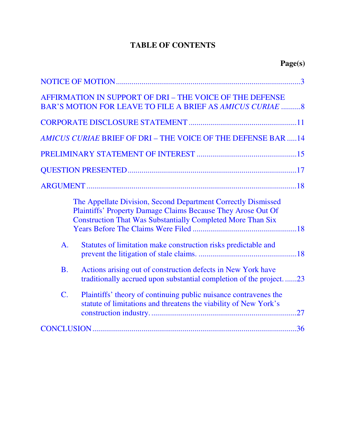## **TABLE OF CONTENTS**

| AFFIRMATION IN SUPPORT OF DRI - THE VOICE OF THE DEFENSE<br>BAR'S MOTION FOR LEAVE TO FILE A BRIEF AS AMICUS CURIAE 8                                                                                      |
|------------------------------------------------------------------------------------------------------------------------------------------------------------------------------------------------------------|
|                                                                                                                                                                                                            |
| <b>AMICUS CURIAE BRIEF OF DRI - THE VOICE OF THE DEFENSE BAR 14</b>                                                                                                                                        |
|                                                                                                                                                                                                            |
|                                                                                                                                                                                                            |
|                                                                                                                                                                                                            |
| The Appellate Division, Second Department Correctly Dismissed<br><b>Plaintiffs' Property Damage Claims Because They Arose Out Of</b><br><b>Construction That Was Substantially Completed More Than Six</b> |
| Statutes of limitation make construction risks predictable and<br>$\mathbf{A}$ .                                                                                                                           |
| Actions arising out of construction defects in New York have<br><b>B.</b><br>traditionally accrued upon substantial completion of the project23                                                            |
| $\mathcal{C}$ .<br>Plaintiffs' theory of continuing public nuisance contravenes the<br>statute of limitations and threatens the viability of New York's                                                    |
|                                                                                                                                                                                                            |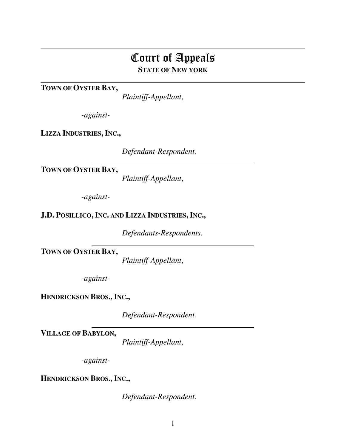# Court of Appeals **STATE OF NEW YORK**

**TOWN OF OYSTER BAY,** 

 $\overline{a}$ 

*Plaintiff-Appellant*,

*-against-*

**LIZZA INDUSTRIES, INC.,**

*Defendant-Respondent.* 

**TOWN OF OYSTER BAY,** 

*Plaintiff-Appellant*,

*-against-*

 $\overline{a}$ 

**J.D. POSILLICO,INC. AND LIZZA INDUSTRIES, INC.,**

*Defendants-Respondents.* 

**TOWN OF OYSTER BAY,** 

*Plaintiff-Appellant*,

*-against-*

**HENDRICKSON BROS., INC.,**

*Defendant-Respondent.* 

**VILLAGE OF BABYLON,** 

*Plaintiff-Appellant*,

*-against-*

**HENDRICKSON BROS., INC.,**

*Defendant-Respondent.*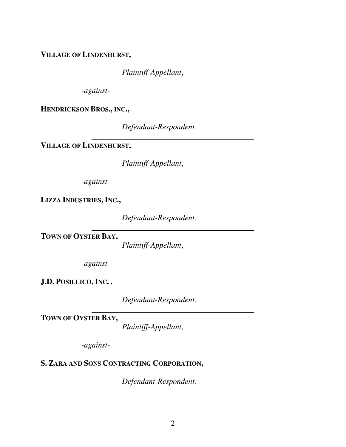**VILLAGE OF LINDENHURST,**

*Plaintiff-Appellant*,

*-against-*

**HENDRICKSON BROS., INC.,**

*Defendant-Respondent.* 

**VILLAGE OF LINDENHURST,**

 $\overline{a}$ 

*Plaintiff-Appellant*,

*-against-*

**LIZZA INDUSTRIES, INC.,**

*Defendant-Respondent.* 

**TOWN OF OYSTER BAY,** 

*Plaintiff-Appellant*,

*-against-*

 $\overline{a}$ 

**J.D. POSILLICO,INC. ,**

*Defendant-Respondent.* 

**TOWN OF OYSTER BAY,** 

*Plaintiff-Appellant*,

*-against-*

 $\overline{a}$ 

 $\overline{a}$ 

### **S. ZARA AND SONS CONTRACTING CORPORATION,**

*Defendant-Respondent.*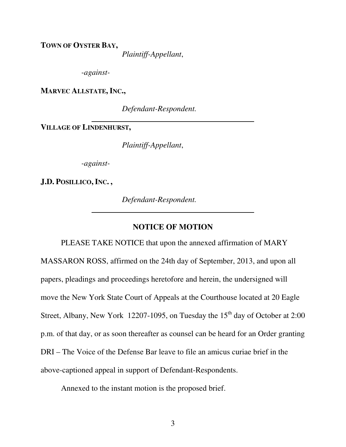<span id="page-6-0"></span>**TOWN OF OYSTER BAY,** 

*Plaintiff-Appellant*,

*-against-*

**MARVEC ALLSTATE, INC.,**

*Defendant-Respondent.* 

**VILLAGE OF LINDENHURST,**

 $\overline{a}$ 

*Plaintiff-Appellant*,

*-against-*

**J.D. POSILLICO,INC. ,**

*Defendant-Respondent.* 

#### **NOTICE OF MOTION**

PLEASE TAKE NOTICE that upon the annexed affirmation of MARY MASSARON ROSS, affirmed on the 24th day of September, 2013, and upon all papers, pleadings and proceedings heretofore and herein, the undersigned will move the New York State Court of Appeals at the Courthouse located at 20 Eagle Street, Albany, New York 12207-1095, on Tuesday the  $15<sup>th</sup>$  day of October at 2:00 p.m. of that day, or as soon thereafter as counsel can be heard for an Order granting DRI – The Voice of the Defense Bar leave to file an amicus curiae brief in the above-captioned appeal in support of Defendant-Respondents.

Annexed to the instant motion is the proposed brief.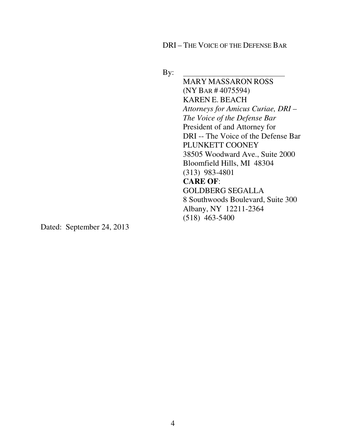DRI – THE VOICE OF THE DEFENSE BAR

By:

 MARY MASSARON ROSS (NY BAR # 4075594) KAREN E. BEACH *Attorneys for Amicus Curiae, DRI – The Voice of the Defense Bar*  President of and Attorney for DRI -- The Voice of the Defense Bar PLUNKETT COONEY 38505 Woodward Ave., Suite 2000 Bloomfield Hills, MI 48304 (313) 983-4801  **CARE OF**: GOLDBERG SEGALLA 8 Southwoods Boulevard, Suite 300 Albany, NY 12211-2364 (518) 463-5400

Dated: September 24, 2013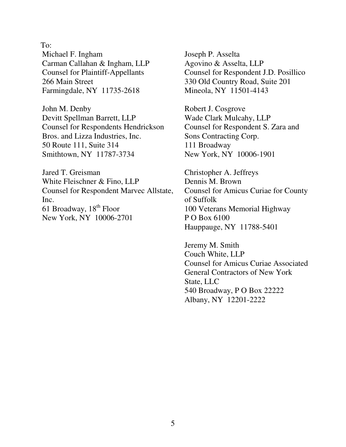To:

Michael F. Ingham Carman Callahan & Ingham, LLP Counsel for Plaintiff-Appellants 266 Main Street Farmingdale, NY 11735-2618

John M. Denby Devitt Spellman Barrett, LLP Counsel for Respondents Hendrickson Bros. and Lizza Industries, Inc. 50 Route 111, Suite 314 Smithtown, NY 11787-3734

Jared T. Greisman White Fleischner & Fino, LLP Counsel for Respondent Marvec Allstate, Inc. 61 Broadway,  $18<sup>th</sup>$  Floor New York, NY 10006-2701

Joseph P. Asselta Agovino & Asselta, LLP Counsel for Respondent J.D. Posillico 330 Old Country Road, Suite 201 Mineola, NY 11501-4143

Robert J. Cosgrove Wade Clark Mulcahy, LLP Counsel for Respondent S. Zara and Sons Contracting Corp. 111 Broadway New York, NY 10006-1901

Christopher A. Jeffreys Dennis M. Brown Counsel for Amicus Curiae for County of Suffolk 100 Veterans Memorial Highway P O Box 6100 Hauppauge, NY 11788-5401

Jeremy M. Smith Couch White, LLP Counsel for Amicus Curiae Associated General Contractors of New York State, LLC 540 Broadway, P O Box 22222 Albany, NY 12201-2222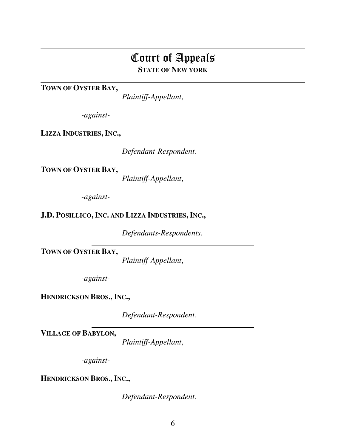# Court of Appeals **STATE OF NEW YORK**

**TOWN OF OYSTER BAY,** 

 $\overline{a}$ 

*Plaintiff-Appellant*,

*-against-*

**LIZZA INDUSTRIES, INC.,**

*Defendant-Respondent.* 

**TOWN OF OYSTER BAY,** 

*Plaintiff-Appellant*,

*-against-*

 $\overline{a}$ 

**J.D. POSILLICO,INC. AND LIZZA INDUSTRIES, INC.,**

*Defendants-Respondents.* 

**TOWN OF OYSTER BAY,** 

*Plaintiff-Appellant*,

*-against-*

**HENDRICKSON BROS., INC.,**

*Defendant-Respondent.* 

**VILLAGE OF BABYLON,** 

*Plaintiff-Appellant*,

*-against-*

**HENDRICKSON BROS., INC.,**

*Defendant-Respondent.*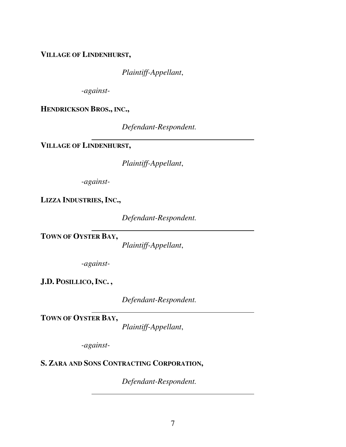**VILLAGE OF LINDENHURST,**

*Plaintiff-Appellant*,

*-against-*

**HENDRICKSON BROS., INC.,**

*Defendant-Respondent.* 

 $\overline{a}$ **VILLAGE OF LINDENHURST,**

*Plaintiff-Appellant*,

*-against-*

**LIZZA INDUSTRIES, INC.,**

*Defendant-Respondent.* 

 $\overline{a}$ **TOWN OF OYSTER BAY,** 

*Plaintiff-Appellant*,

*-against-*

**J.D. POSILLICO,INC. ,**

*Defendant-Respondent.* 

**TOWN OF OYSTER BAY,** 

*Plaintiff-Appellant*,

*-against-*

 $\overline{a}$ 

 $\overline{a}$ 

## **S. ZARA AND SONS CONTRACTING CORPORATION,**

*Defendant-Respondent.*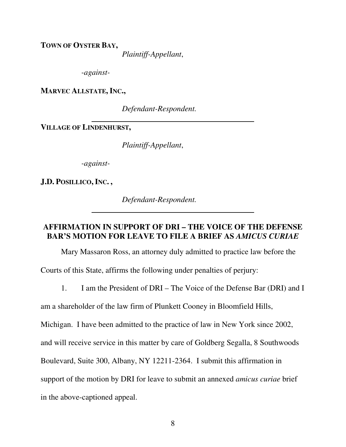<span id="page-11-0"></span>**TOWN OF OYSTER BAY,** 

*Plaintiff-Appellant*,

*-against-*

**MARVEC ALLSTATE, INC.,**

*Defendant-Respondent.* 

**VILLAGE OF LINDENHURST,**

 $\overline{a}$ 

*Plaintiff-Appellant*,

*-against-*

**J.D. POSILLICO,INC. ,**

*Defendant-Respondent.* 

#### **AFFIRMATION IN SUPPORT OF DRI – THE VOICE OF THE DEFENSE BAR'S MOTION FOR LEAVE TO FILE A BRIEF AS** *AMICUS CURIAE*

Mary Massaron Ross, an attorney duly admitted to practice law before the Courts of this State, affirms the following under penalties of perjury:

1. I am the President of DRI – The Voice of the Defense Bar (DRI) and I

am a shareholder of the law firm of Plunkett Cooney in Bloomfield Hills,

Michigan. I have been admitted to the practice of law in New York since 2002,

and will receive service in this matter by care of Goldberg Segalla, 8 Southwoods

Boulevard, Suite 300, Albany, NY 12211-2364. I submit this affirmation in

support of the motion by DRI for leave to submit an annexed *amicus curiae* brief

in the above-captioned appeal.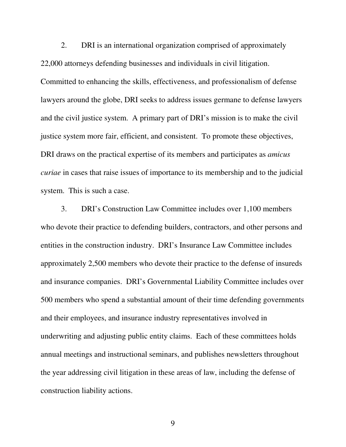2. DRI is an international organization comprised of approximately 22,000 attorneys defending businesses and individuals in civil litigation. Committed to enhancing the skills, effectiveness, and professionalism of defense lawyers around the globe, DRI seeks to address issues germane to defense lawyers and the civil justice system. A primary part of DRI's mission is to make the civil justice system more fair, efficient, and consistent. To promote these objectives, DRI draws on the practical expertise of its members and participates as *amicus curiae* in cases that raise issues of importance to its membership and to the judicial system. This is such a case.

3. DRI's Construction Law Committee includes over 1,100 members who devote their practice to defending builders, contractors, and other persons and entities in the construction industry. DRI's Insurance Law Committee includes approximately 2,500 members who devote their practice to the defense of insureds and insurance companies. DRI's Governmental Liability Committee includes over 500 members who spend a substantial amount of their time defending governments and their employees, and insurance industry representatives involved in underwriting and adjusting public entity claims. Each of these committees holds annual meetings and instructional seminars, and publishes newsletters throughout the year addressing civil litigation in these areas of law, including the defense of construction liability actions.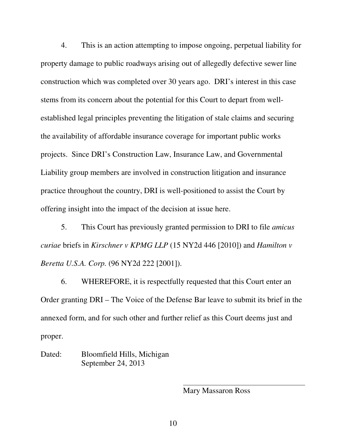4. This is an action attempting to impose ongoing, perpetual liability for property damage to public roadways arising out of allegedly defective sewer line construction which was completed over 30 years ago. DRI's interest in this case stems from its concern about the potential for this Court to depart from wellestablished legal principles preventing the litigation of stale claims and securing the availability of affordable insurance coverage for important public works projects.Since DRI's Construction Law, Insurance Law, and Governmental Liability group members are involved in construction litigation and insurance practice throughout the country, DRI is well-positioned to assist the Court by offering insight into the impact of the decision at issue here.

5. This Court has previously granted permission to DRI to file *amicus curiae* briefs in *Kirschner v KPMG LLP* (15 NY2d 446 [2010]) and *Hamilton v Beretta U.S.A. Corp.* (96 NY2d 222 [2001]).

6. WHEREFORE, it is respectfully requested that this Court enter an Order granting DRI – The Voice of the Defense Bar leave to submit its brief in the annexed form, and for such other and further relief as this Court deems just and proper.

Dated: Bloomfield Hills, Michigan September 24, 2013

Mary Massaron Ross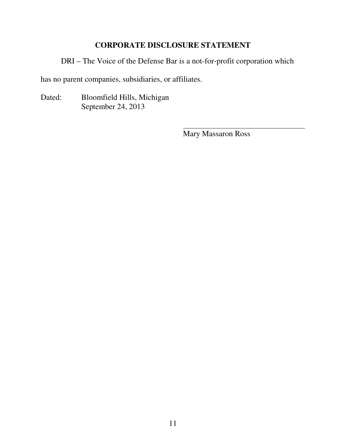### **CORPORATE DISCLOSURE STATEMENT**

<span id="page-14-0"></span>DRI – The Voice of the Defense Bar is a not-for-profit corporation which

has no parent companies, subsidiaries, or affiliates.

Dated: Bloomfield Hills, Michigan September 24, 2013

Mary Massaron Ross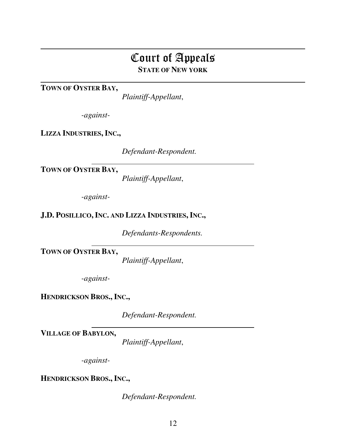# Court of Appeals **STATE OF NEW YORK**

**TOWN OF OYSTER BAY,** 

 $\overline{a}$ 

 $\overline{a}$ 

*Plaintiff-Appellant*,

*-against-*

**LIZZA INDUSTRIES, INC.,**

*Defendant-Respondent.* 

**TOWN OF OYSTER BAY,** 

*Plaintiff-Appellant*,

*-against-*

 $\overline{a}$ 

**J.D. POSILLICO,INC. AND LIZZA INDUSTRIES, INC.,**

*Defendants-Respondents.* 

**TOWN OF OYSTER BAY,** 

*Plaintiff-Appellant*,

*-against-*

**HENDRICKSON BROS., INC.,**

*Defendant-Respondent.* 

**VILLAGE OF BABYLON,** 

*Plaintiff-Appellant*,

*-against-*

**HENDRICKSON BROS., INC.,**

*Defendant-Respondent.*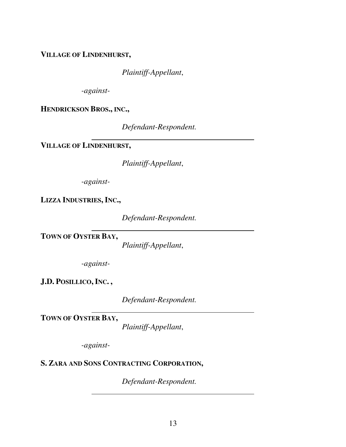**VILLAGE OF LINDENHURST,**

*Plaintiff-Appellant*,

*-against-*

**HENDRICKSON BROS., INC.,**

*Defendant-Respondent.* 

 $\overline{a}$ **VILLAGE OF LINDENHURST,**

*Plaintiff-Appellant*,

*-against-*

**LIZZA INDUSTRIES, INC.,**

*Defendant-Respondent.* 

 $\overline{a}$ **TOWN OF OYSTER BAY,** 

*Plaintiff-Appellant*,

*-against-*

**J.D. POSILLICO,INC. ,**

*Defendant-Respondent.* 

**TOWN OF OYSTER BAY,** 

*Plaintiff-Appellant*,

*-against-*

 $\overline{a}$ 

 $\overline{a}$ 

## **S. ZARA AND SONS CONTRACTING CORPORATION,**

*Defendant-Respondent.*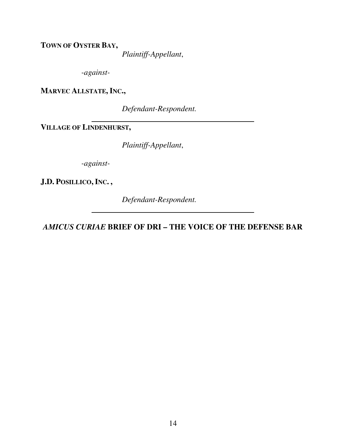<span id="page-17-0"></span>**TOWN OF OYSTER BAY,** 

*Plaintiff-Appellant*,

*-against-*

**MARVEC ALLSTATE, INC.,**

*Defendant-Respondent.* 

**VILLAGE OF LINDENHURST,**

 $\overline{a}$ 

*Plaintiff-Appellant*,

*-against-*

**J.D. POSILLICO,INC. ,**

*Defendant-Respondent.* 

*AMICUS CURIAE* **BRIEF OF DRI – THE VOICE OF THE DEFENSE BAR**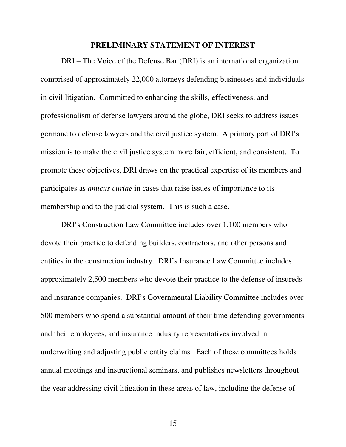#### **PRELIMINARY STATEMENT OF INTEREST**

<span id="page-18-0"></span>DRI – The Voice of the Defense Bar (DRI) is an international organization comprised of approximately 22,000 attorneys defending businesses and individuals in civil litigation. Committed to enhancing the skills, effectiveness, and professionalism of defense lawyers around the globe, DRI seeks to address issues germane to defense lawyers and the civil justice system. A primary part of DRI's mission is to make the civil justice system more fair, efficient, and consistent. To promote these objectives, DRI draws on the practical expertise of its members and participates as *amicus curiae* in cases that raise issues of importance to its membership and to the judicial system. This is such a case.

DRI's Construction Law Committee includes over 1,100 members who devote their practice to defending builders, contractors, and other persons and entities in the construction industry. DRI's Insurance Law Committee includes approximately 2,500 members who devote their practice to the defense of insureds and insurance companies. DRI's Governmental Liability Committee includes over 500 members who spend a substantial amount of their time defending governments and their employees, and insurance industry representatives involved in underwriting and adjusting public entity claims. Each of these committees holds annual meetings and instructional seminars, and publishes newsletters throughout the year addressing civil litigation in these areas of law, including the defense of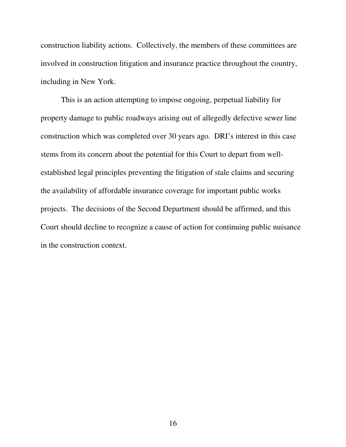construction liability actions. Collectively, the members of these committees are involved in construction litigation and insurance practice throughout the country, including in New York.

This is an action attempting to impose ongoing, perpetual liability for property damage to public roadways arising out of allegedly defective sewer line construction which was completed over 30 years ago. DRI's interest in this case stems from its concern about the potential for this Court to depart from wellestablished legal principles preventing the litigation of stale claims and securing the availability of affordable insurance coverage for important public works projects.The decisions of the Second Department should be affirmed, and this Court should decline to recognize a cause of action for continuing public nuisance in the construction context.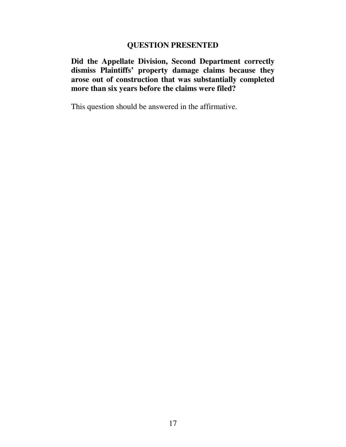#### **QUESTION PRESENTED**

<span id="page-20-0"></span>**Did the Appellate Division, Second Department correctly dismiss Plaintiffs' property damage claims because they arose out of construction that was substantially completed more than six years before the claims were filed?** 

This question should be answered in the affirmative.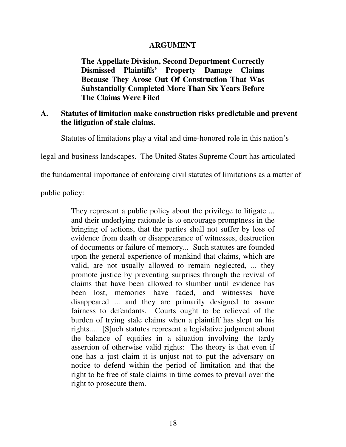#### **ARGUMENT**

<span id="page-21-0"></span>**The Appellate Division, Second Department Correctly Dismissed Plaintiffs' Property Damage Claims Because They Arose Out Of Construction That Was Substantially Completed More Than Six Years Before The Claims Were Filed** 

#### **A. Statutes of limitation make construction risks predictable and prevent the litigation of stale claims.**

Statutes of limitations play a vital and time-honored role in this nation's

legal and business landscapes. The United States Supreme Court has articulated

the fundamental importance of enforcing civil statutes of limitations as a matter of

public policy:

They represent a public policy about the privilege to litigate ... and their underlying rationale is to encourage promptness in the bringing of actions, that the parties shall not suffer by loss of evidence from death or disappearance of witnesses, destruction of documents or failure of memory... Such statutes are founded upon the general experience of mankind that claims, which are valid, are not usually allowed to remain neglected, ... they promote justice by preventing surprises through the revival of claims that have been allowed to slumber until evidence has been lost, memories have faded, and witnesses have disappeared ... and they are primarily designed to assure fairness to defendants. Courts ought to be relieved of the burden of trying stale claims when a plaintiff has slept on his rights.... [S]uch statutes represent a legislative judgment about the balance of equities in a situation involving the tardy assertion of otherwise valid rights: The theory is that even if one has a just claim it is unjust not to put the adversary on notice to defend within the period of limitation and that the right to be free of stale claims in time comes to prevail over the right to prosecute them.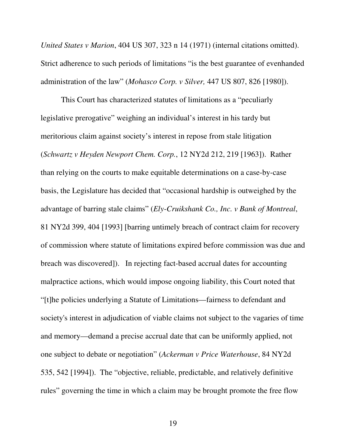*United States v Marion*, 404 US 307, 323 n 14 (1971) (internal citations omitted). Strict adherence to such periods of limitations "is the best guarantee of evenhanded administration of the law" (*Mohasco Corp. v Silver,* 447 US 807, 826 [1980]).

 This Court has characterized statutes of limitations as a "peculiarly legislative prerogative" weighing an individual's interest in his tardy but meritorious claim against society's interest in repose from stale litigation (*Schwartz v Heyden Newport Chem. Corp.*, 12 NY2d 212, 219 [1963]). Rather than relying on the courts to make equitable determinations on a case-by-case basis, the Legislature has decided that "occasional hardship is outweighed by the advantage of barring stale claims" (*Ely-Cruikshank Co., Inc. v Bank of Montreal*, 81 NY2d 399, 404 [1993] [barring untimely breach of contract claim for recovery of commission where statute of limitations expired before commission was due and breach was discovered]). In rejecting fact-based accrual dates for accounting malpractice actions, which would impose ongoing liability, this Court noted that "[t]he policies underlying a Statute of Limitations—fairness to defendant and society's interest in adjudication of viable claims not subject to the vagaries of time and memory—demand a precise accrual date that can be uniformly applied, not one subject to debate or negotiation" (*Ackerman v Price Waterhouse*, 84 NY2d 535, 542 [1994]). The "objective, reliable, predictable, and relatively definitive rules" governing the time in which a claim may be brought promote the free flow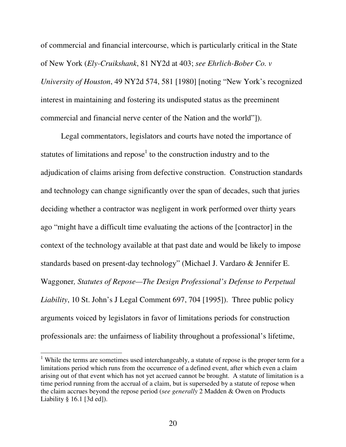of commercial and financial intercourse, which is particularly critical in the State of New York (*Ely-Cruikshank*, 81 NY2d at 403; *see Ehrlich-Bober Co. v University of Houston*, 49 NY2d 574, 581 [1980] [noting "New York's recognized interest in maintaining and fostering its undisputed status as the preeminent commercial and financial nerve center of the Nation and the world"]).

 Legal commentators, legislators and courts have noted the importance of statutes of limitations and repose<sup>1</sup> to the construction industry and to the adjudication of claims arising from defective construction. Construction standards and technology can change significantly over the span of decades, such that juries deciding whether a contractor was negligent in work performed over thirty years ago "might have a difficult time evaluating the actions of the [contractor] in the context of the technology available at that past date and would be likely to impose standards based on present-day technology" (Michael J. Vardaro & Jennifer E. Waggoner*, Statutes of Repose—The Design Professional's Defense to Perpetual Liability*, 10 St. John's J Legal Comment 697, 704 [1995]). Three public policy arguments voiced by legislators in favor of limitations periods for construction professionals are: the unfairness of liability throughout a professional's lifetime,

 $\overline{a}$ 

<sup>&</sup>lt;sup>1</sup> While the terms are sometimes used interchangeably, a statute of repose is the proper term for a limitations period which runs from the occurrence of a defined event, after which even a claim arising out of that event which has not yet accrued cannot be brought. A statute of limitation is a time period running from the accrual of a claim, but is superseded by a statute of repose when the claim accrues beyond the repose period (*see generally* 2 Madden & Owen on Products Liability § 16.1 [3d ed]).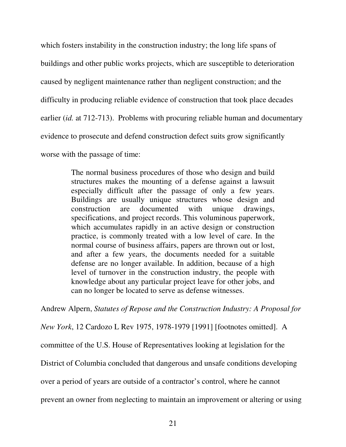which fosters instability in the construction industry; the long life spans of buildings and other public works projects, which are susceptible to deterioration caused by negligent maintenance rather than negligent construction; and the difficulty in producing reliable evidence of construction that took place decades earlier (*id.* at 712-713). Problems with procuring reliable human and documentary evidence to prosecute and defend construction defect suits grow significantly worse with the passage of time:

> The normal business procedures of those who design and build structures makes the mounting of a defense against a lawsuit especially difficult after the passage of only a few years. Buildings are usually unique structures whose design and construction are documented with unique drawings, specifications, and project records. This voluminous paperwork, which accumulates rapidly in an active design or construction practice, is commonly treated with a low level of care. In the normal course of business affairs, papers are thrown out or lost, and after a few years, the documents needed for a suitable defense are no longer available. In addition, because of a high level of turnover in the construction industry, the people with knowledge about any particular project leave for other jobs, and can no longer be located to serve as defense witnesses.

Andrew Alpern, *Statutes of Repose and the Construction Industry: A Proposal for* 

*New York*, 12 Cardozo L Rev 1975, 1978-1979 [1991] [footnotes omitted]. A

committee of the U.S. House of Representatives looking at legislation for the

District of Columbia concluded that dangerous and unsafe conditions developing

over a period of years are outside of a contractor's control, where he cannot

prevent an owner from neglecting to maintain an improvement or altering or using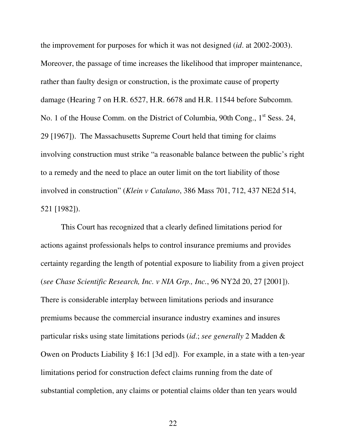the improvement for purposes for which it was not designed (*id*. at 2002-2003). Moreover, the passage of time increases the likelihood that improper maintenance, rather than faulty design or construction, is the proximate cause of property damage (Hearing 7 on H.R. 6527, H.R. 6678 and H.R. 11544 before Subcomm. No. 1 of the House Comm. on the District of Columbia, 90th Cong., 1<sup>st</sup> Sess. 24, 29 [1967]). The Massachusetts Supreme Court held that timing for claims involving construction must strike "a reasonable balance between the public's right to a remedy and the need to place an outer limit on the tort liability of those involved in construction" (*Klein v Catalano*, 386 Mass 701, 712, 437 NE2d 514, 521 [1982]).

 This Court has recognized that a clearly defined limitations period for actions against professionals helps to control insurance premiums and provides certainty regarding the length of potential exposure to liability from a given project (*see Chase Scientific Research, Inc. v NIA Grp., Inc.*, 96 NY2d 20, 27 [2001]). There is considerable interplay between limitations periods and insurance premiums because the commercial insurance industry examines and insures particular risks using state limitations periods (*id*.; *see generally* 2 Madden & Owen on Products Liability § 16:1 [3d ed]). For example, in a state with a ten-year limitations period for construction defect claims running from the date of substantial completion, any claims or potential claims older than ten years would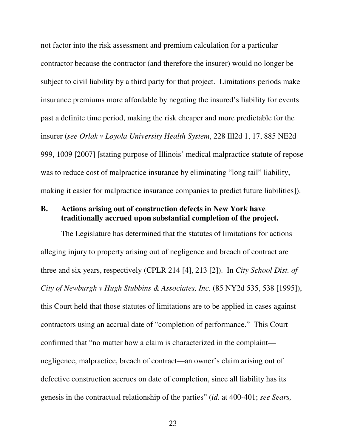<span id="page-26-0"></span>not factor into the risk assessment and premium calculation for a particular contractor because the contractor (and therefore the insurer) would no longer be subject to civil liability by a third party for that project. Limitations periods make insurance premiums more affordable by negating the insured's liability for events past a definite time period, making the risk cheaper and more predictable for the insurer (*see Orlak v Loyola University Health System*, 228 Ill2d 1, 17, 885 NE2d 999, 1009 [2007] [stating purpose of Illinois' medical malpractice statute of repose was to reduce cost of malpractice insurance by eliminating "long tail" liability, making it easier for malpractice insurance companies to predict future liabilities]).

#### **B. Actions arising out of construction defects in New York have traditionally accrued upon substantial completion of the project.**

The Legislature has determined that the statutes of limitations for actions alleging injury to property arising out of negligence and breach of contract are three and six years, respectively (CPLR 214 [4], 213 [2]). In *City School Dist. of City of Newburgh v Hugh Stubbins & Associates, Inc.* (85 NY2d 535, 538 [1995]), this Court held that those statutes of limitations are to be applied in cases against contractors using an accrual date of "completion of performance." This Court confirmed that "no matter how a claim is characterized in the complaint negligence, malpractice, breach of contract—an owner's claim arising out of defective construction accrues on date of completion, since all liability has its genesis in the contractual relationship of the parties" (*id.* at 400-401; *see Sears,*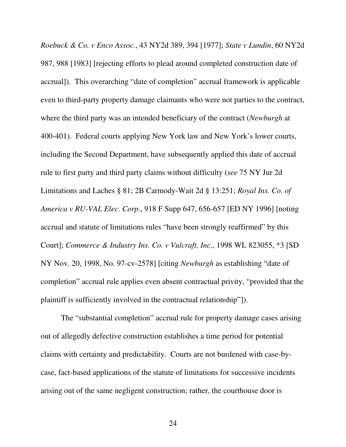*Roebuck & Co. v Enco Assoc.*, 43 NY2d 389, 394 [1977]; *State v Lundin*, 60 NY2d 987, 988 [1983] [rejecting efforts to plead around completed construction date of accrual]). This overarching "date of completion" accrual framework is applicable even to third-party property damage claimants who were not parties to the contract, where the third party was an intended beneficiary of the contract (*Newburgh* at 400-401). Federal courts applying New York law and New York's lower courts, including the Second Department, have subsequently applied this date of accrual rule to first party and third party claims without difficulty (*see* 75 NY Jur 2d Limitations and Laches § 81; 2B Carmody-Wait 2d § 13:251; *Royal Ins. Co. of America v RU-VAL Elec. Corp.*, 918 F Supp 647, 656-657 [ED NY 1996] [noting accrual and statute of limitations rules "have been strongly reaffirmed" by this Court]; *Commerce & Industry Ins. Co. v Vulcraft, Inc.*, 1998 WL 823055, \*3 [SD NY Nov. 20, 1998, No. 97-cv-2578] [citing *Newburgh* as establishing "date of completion" accrual rule applies even absent contractual privity, "provided that the plaintiff is sufficiently involved in the contractual relationship"]).

 The "substantial completion" accrual rule for property damage cases arising out of allegedly defective construction establishes a time period for potential claims with certainty and predictability. Courts are not burdened with case-bycase, fact-based applications of the statute of limitations for successive incidents arising out of the same negligent construction; rather, the courthouse door is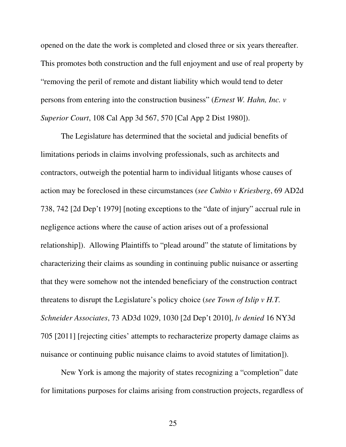opened on the date the work is completed and closed three or six years thereafter. This promotes both construction and the full enjoyment and use of real property by "removing the peril of remote and distant liability which would tend to deter persons from entering into the construction business" (*Ernest W. Hahn, Inc. v Superior Court*, 108 Cal App 3d 567, 570 [Cal App 2 Dist 1980]).

 The Legislature has determined that the societal and judicial benefits of limitations periods in claims involving professionals, such as architects and contractors, outweigh the potential harm to individual litigants whose causes of action may be foreclosed in these circumstances (*see Cubito v Kriesberg*, 69 AD2d 738, 742 [2d Dep't 1979] [noting exceptions to the "date of injury" accrual rule in negligence actions where the cause of action arises out of a professional relationship]). Allowing Plaintiffs to "plead around" the statute of limitations by characterizing their claims as sounding in continuing public nuisance or asserting that they were somehow not the intended beneficiary of the construction contract threatens to disrupt the Legislature's policy choice (*see Town of Islip v H.T. Schneider Associates*, 73 AD3d 1029, 1030 [2d Dep't 2010], *lv denied* 16 NY3d 705 [2011] [rejecting cities' attempts to recharacterize property damage claims as nuisance or continuing public nuisance claims to avoid statutes of limitation]).

New York is among the majority of states recognizing a "completion" date for limitations purposes for claims arising from construction projects, regardless of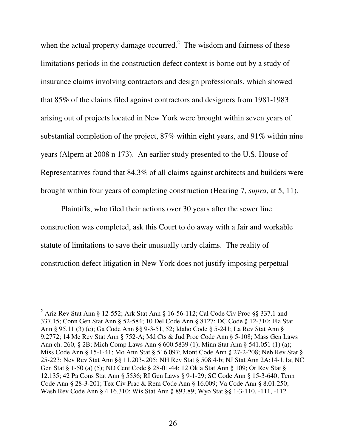when the actual property damage occurred.<sup>2</sup> The wisdom and fairness of these limitations periods in the construction defect context is borne out by a study of insurance claims involving contractors and design professionals, which showed that 85% of the claims filed against contractors and designers from 1981-1983 arising out of projects located in New York were brought within seven years of substantial completion of the project, 87% within eight years, and 91% within nine years (Alpern at 2008 n 173). An earlier study presented to the U.S. House of Representatives found that 84.3% of all claims against architects and builders were brought within four years of completing construction (Hearing 7, *supra*, at 5, 11).

Plaintiffs, who filed their actions over 30 years after the sewer line construction was completed, ask this Court to do away with a fair and workable statute of limitations to save their unusually tardy claims. The reality of construction defect litigation in New York does not justify imposing perpetual

 2 Ariz Rev Stat Ann § 12-552; Ark Stat Ann § 16-56-112; Cal Code Civ Proc §§ 337.1 and 337.15; Conn Gen Stat Ann § 52-584; 10 Del Code Ann § 8127; DC Code § 12-310; Fla Stat Ann § 95.11 (3) (c); Ga Code Ann §§ 9-3-51, 52; Idaho Code § 5-241; La Rev Stat Ann § 9.2772; 14 Me Rev Stat Ann § 752-A; Md Cts & Jud Proc Code Ann § 5-108; Mass Gen Laws Ann ch. 260, § 2B; Mich Comp Laws Ann § 600.5839 (1); Minn Stat Ann § 541.051 (1) (a); Miss Code Ann § 15-1-41; Mo Ann Stat § 516.097; Mont Code Ann § 27-2-208; Neb Rev Stat § 25-223; Nev Rev Stat Ann §§ 11.203-.205; NH Rev Stat § 508:4-b; NJ Stat Ann 2A:14-1.1a; NC Gen Stat § 1-50 (a) (5); ND Cent Code § 28-01-44; 12 Okla Stat Ann § 109; Or Rev Stat § 12.135; 42 Pa Cons Stat Ann § 5536; RI Gen Laws § 9-1-29; SC Code Ann § 15-3-640; Tenn Code Ann § 28-3-201; Tex Civ Prac & Rem Code Ann § 16.009; Va Code Ann § 8.01.250; Wash Rev Code Ann § 4.16.310; Wis Stat Ann § 893.89; Wyo Stat §§ 1-3-110, -111, -112.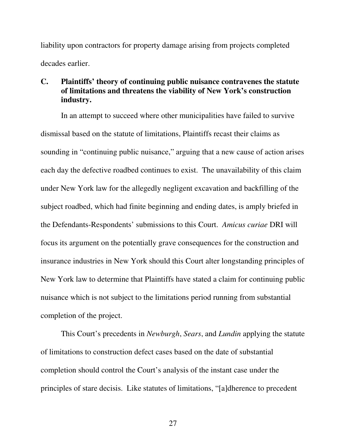<span id="page-30-0"></span>liability upon contractors for property damage arising from projects completed decades earlier.

#### **C. Plaintiffs' theory of continuing public nuisance contravenes the statute of limitations and threatens the viability of New York's construction industry.**

In an attempt to succeed where other municipalities have failed to survive dismissal based on the statute of limitations, Plaintiffs recast their claims as sounding in "continuing public nuisance," arguing that a new cause of action arises each day the defective roadbed continues to exist. The unavailability of this claim under New York law for the allegedly negligent excavation and backfilling of the subject roadbed, which had finite beginning and ending dates, is amply briefed in the Defendants-Respondents' submissions to this Court. *Amicus curiae* DRI will focus its argument on the potentially grave consequences for the construction and insurance industries in New York should this Court alter longstanding principles of New York law to determine that Plaintiffs have stated a claim for continuing public nuisance which is not subject to the limitations period running from substantial completion of the project.

This Court's precedents in *Newburgh*, *Sears*, and *Lundin* applying the statute of limitations to construction defect cases based on the date of substantial completion should control the Court's analysis of the instant case under the principles of stare decisis. Like statutes of limitations, "[a]dherence to precedent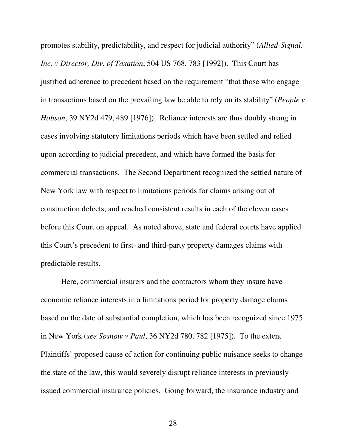promotes stability, predictability, and respect for judicial authority" (*Allied-Signal, Inc. v Director, Div. of Taxation*, 504 US 768, 783 [1992]). This Court has justified adherence to precedent based on the requirement "that those who engage in transactions based on the prevailing law be able to rely on its stability" (*People v Hobson*, 39 NY2d 479, 489 [1976]). Reliance interests are thus doubly strong in cases involving statutory limitations periods which have been settled and relied upon according to judicial precedent, and which have formed the basis for commercial transactions. The Second Department recognized the settled nature of New York law with respect to limitations periods for claims arising out of construction defects, and reached consistent results in each of the eleven cases before this Court on appeal. As noted above, state and federal courts have applied this Court's precedent to first- and third-party property damages claims with predictable results.

Here, commercial insurers and the contractors whom they insure have economic reliance interests in a limitations period for property damage claims based on the date of substantial completion, which has been recognized since 1975 in New York (*see Sosnow v Paul*, 36 NY2d 780, 782 [1975]). To the extent Plaintiffs' proposed cause of action for continuing public nuisance seeks to change the state of the law, this would severely disrupt reliance interests in previouslyissued commercial insurance policies. Going forward, the insurance industry and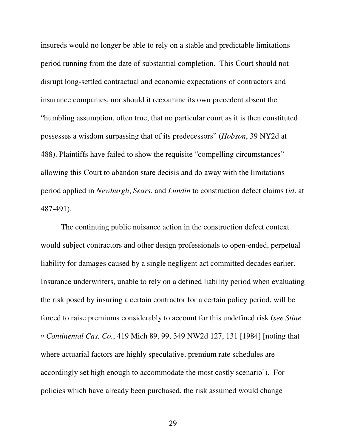insureds would no longer be able to rely on a stable and predictable limitations period running from the date of substantial completion. This Court should not disrupt long-settled contractual and economic expectations of contractors and insurance companies, nor should it reexamine its own precedent absent the "humbling assumption, often true, that no particular court as it is then constituted possesses a wisdom surpassing that of its predecessors" (*Hobson*, 39 NY2d at 488). Plaintiffs have failed to show the requisite "compelling circumstances" allowing this Court to abandon stare decisis and do away with the limitations period applied in *Newburgh*, *Sears*, and *Lundin* to construction defect claims (*id*. at 487-491).

The continuing public nuisance action in the construction defect context would subject contractors and other design professionals to open-ended, perpetual liability for damages caused by a single negligent act committed decades earlier. Insurance underwriters, unable to rely on a defined liability period when evaluating the risk posed by insuring a certain contractor for a certain policy period, will be forced to raise premiums considerably to account for this undefined risk (*see Stine v Continental Cas. Co.*, 419 Mich 89, 99, 349 NW2d 127, 131 [1984] [noting that where actuarial factors are highly speculative, premium rate schedules are accordingly set high enough to accommodate the most costly scenario]). For policies which have already been purchased, the risk assumed would change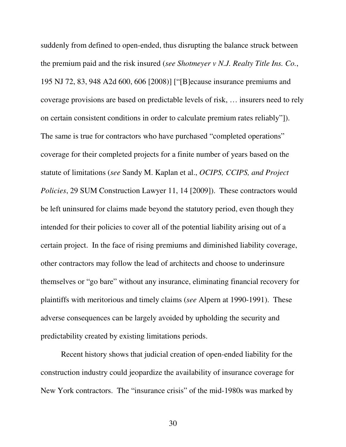suddenly from defined to open-ended, thus disrupting the balance struck between the premium paid and the risk insured (*see Shotmeyer v N.J. Realty Title Ins. Co.*, 195 NJ 72, 83, 948 A2d 600, 606 [2008)] ["[B]ecause insurance premiums and coverage provisions are based on predictable levels of risk, … insurers need to rely on certain consistent conditions in order to calculate premium rates reliably"]). The same is true for contractors who have purchased "completed operations" coverage for their completed projects for a finite number of years based on the statute of limitations (*see* Sandy M. Kaplan et al., *OCIPS, CCIPS, and Project Policies*, 29 SUM Construction Lawyer 11, 14 [2009]). These contractors would be left uninsured for claims made beyond the statutory period, even though they intended for their policies to cover all of the potential liability arising out of a certain project. In the face of rising premiums and diminished liability coverage, other contractors may follow the lead of architects and choose to underinsure themselves or "go bare" without any insurance, eliminating financial recovery for plaintiffs with meritorious and timely claims (*see* Alpern at 1990-1991). These adverse consequences can be largely avoided by upholding the security and predictability created by existing limitations periods.

Recent history shows that judicial creation of open-ended liability for the construction industry could jeopardize the availability of insurance coverage for New York contractors. The "insurance crisis" of the mid-1980s was marked by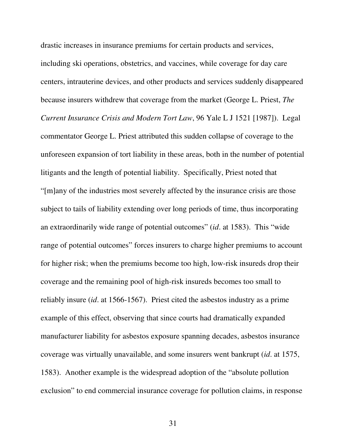drastic increases in insurance premiums for certain products and services, including ski operations, obstetrics, and vaccines, while coverage for day care centers, intrauterine devices, and other products and services suddenly disappeared because insurers withdrew that coverage from the market (George L. Priest, *The Current Insurance Crisis and Modern Tort Law*, 96 Yale L J 1521 [1987]). Legal commentator George L. Priest attributed this sudden collapse of coverage to the unforeseen expansion of tort liability in these areas, both in the number of potential litigants and the length of potential liability. Specifically, Priest noted that "[m]any of the industries most severely affected by the insurance crisis are those subject to tails of liability extending over long periods of time, thus incorporating an extraordinarily wide range of potential outcomes" (*id*. at 1583). This "wide range of potential outcomes" forces insurers to charge higher premiums to account for higher risk; when the premiums become too high, low-risk insureds drop their coverage and the remaining pool of high-risk insureds becomes too small to reliably insure (*id*. at 1566-1567). Priest cited the asbestos industry as a prime example of this effect, observing that since courts had dramatically expanded manufacturer liability for asbestos exposure spanning decades, asbestos insurance coverage was virtually unavailable, and some insurers went bankrupt (*id*. at 1575, 1583). Another example is the widespread adoption of the "absolute pollution exclusion" to end commercial insurance coverage for pollution claims, in response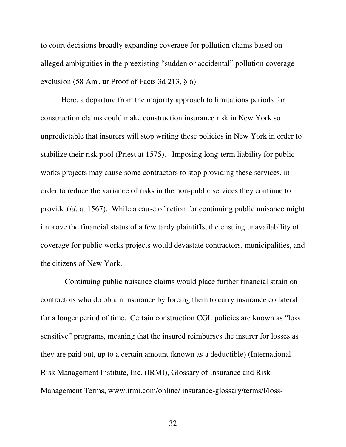to court decisions broadly expanding coverage for pollution claims based on alleged ambiguities in the preexisting "sudden or accidental" pollution coverage exclusion (58 Am Jur Proof of Facts 3d 213, § 6).

 Here, a departure from the majority approach to limitations periods for construction claims could make construction insurance risk in New York so unpredictable that insurers will stop writing these policies in New York in order to stabilize their risk pool (Priest at 1575). Imposing long-term liability for public works projects may cause some contractors to stop providing these services, in order to reduce the variance of risks in the non-public services they continue to provide (*id*. at 1567). While a cause of action for continuing public nuisance might improve the financial status of a few tardy plaintiffs, the ensuing unavailability of coverage for public works projects would devastate contractors, municipalities, and the citizens of New York.

 Continuing public nuisance claims would place further financial strain on contractors who do obtain insurance by forcing them to carry insurance collateral for a longer period of time. Certain construction CGL policies are known as "loss sensitive" programs, meaning that the insured reimburses the insurer for losses as they are paid out, up to a certain amount (known as a deductible) (International Risk Management Institute, Inc. (IRMI), Glossary of Insurance and Risk Management Terms, www.irmi.com/online/ insurance-glossary/terms/l/loss-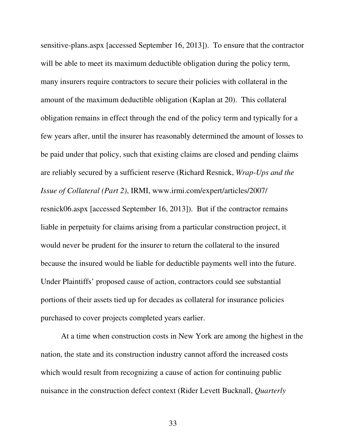sensitive-plans.aspx [accessed September 16, 2013]). To ensure that the contractor will be able to meet its maximum deductible obligation during the policy term, many insurers require contractors to secure their policies with collateral in the amount of the maximum deductible obligation (Kaplan at 20). This collateral obligation remains in effect through the end of the policy term and typically for a few years after, until the insurer has reasonably determined the amount of losses to be paid under that policy, such that existing claims are closed and pending claims are reliably secured by a sufficient reserve (Richard Resnick, *Wrap-Ups and the Issue of Collateral (Part 2)*, IRMI, www.irmi.com/expert/articles/2007/ resnick06.aspx [accessed September 16, 2013]). But if the contractor remains liable in perpetuity for claims arising from a particular construction project, it would never be prudent for the insurer to return the collateral to the insured because the insured would be liable for deductible payments well into the future. Under Plaintiffs' proposed cause of action, contractors could see substantial portions of their assets tied up for decades as collateral for insurance policies purchased to cover projects completed years earlier.

At a time when construction costs in New York are among the highest in the nation, the state and its construction industry cannot afford the increased costs which would result from recognizing a cause of action for continuing public nuisance in the construction defect context (Rider Levett Bucknall, *Quarterly*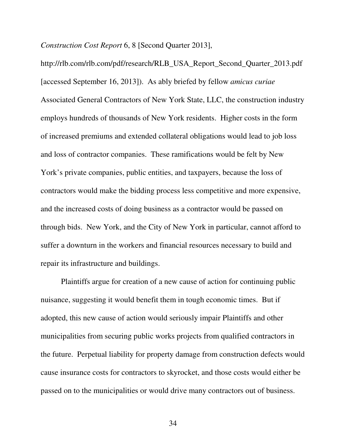*Construction Cost Report* 6, 8 [Second Quarter 2013],

http://rlb.com/rlb.com/pdf/research/RLB\_USA\_Report\_Second\_Quarter\_2013.pdf [accessed September 16, 2013]). As ably briefed by fellow *amicus curiae* Associated General Contractors of New York State, LLC, the construction industry employs hundreds of thousands of New York residents. Higher costs in the form of increased premiums and extended collateral obligations would lead to job loss and loss of contractor companies. These ramifications would be felt by New York's private companies, public entities, and taxpayers, because the loss of contractors would make the bidding process less competitive and more expensive, and the increased costs of doing business as a contractor would be passed on through bids. New York, and the City of New York in particular, cannot afford to suffer a downturn in the workers and financial resources necessary to build and repair its infrastructure and buildings.

Plaintiffs argue for creation of a new cause of action for continuing public nuisance, suggesting it would benefit them in tough economic times. But if adopted, this new cause of action would seriously impair Plaintiffs and other municipalities from securing public works projects from qualified contractors in the future. Perpetual liability for property damage from construction defects would cause insurance costs for contractors to skyrocket, and those costs would either be passed on to the municipalities or would drive many contractors out of business.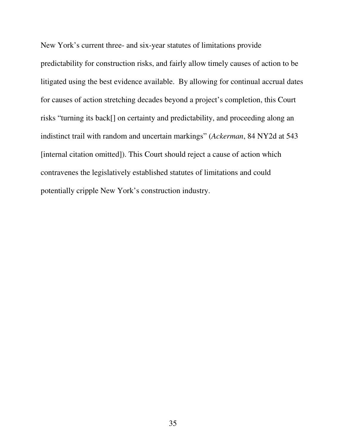New York's current three- and six-year statutes of limitations provide predictability for construction risks, and fairly allow timely causes of action to be litigated using the best evidence available. By allowing for continual accrual dates for causes of action stretching decades beyond a project's completion, this Court risks "turning its back[] on certainty and predictability, and proceeding along an indistinct trail with random and uncertain markings" (*Ackerman*, 84 NY2d at 543 [internal citation omitted]). This Court should reject a cause of action which contravenes the legislatively established statutes of limitations and could potentially cripple New York's construction industry.